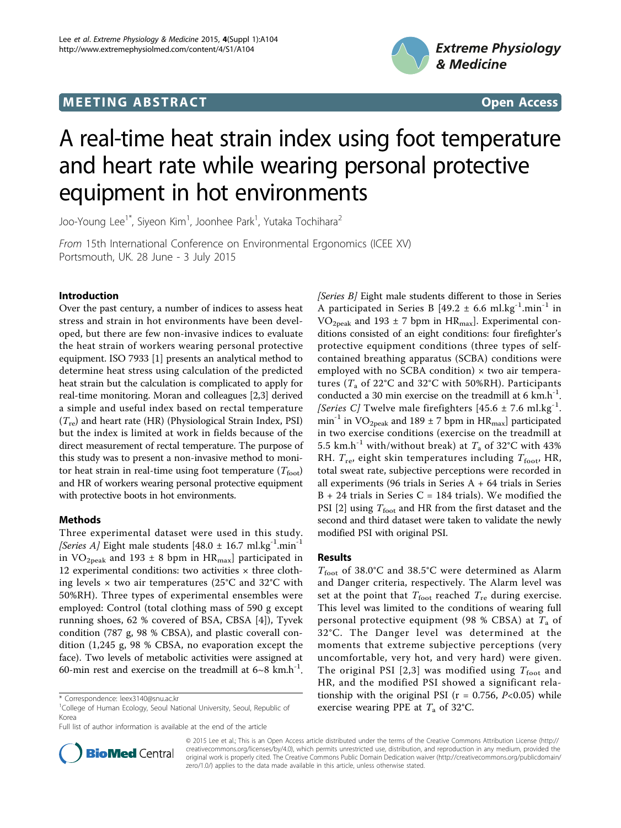# **MEETING ABSTRACT And CONSUMING ABSTRACT**



# A real-time heat strain index using foot temperature and heart rate while wearing personal protective equipment in hot environments

Joo-Young Lee<sup>1\*</sup>, Siyeon Kim<sup>1</sup>, Joonhee Park<sup>1</sup>, Yutaka Tochihara<sup>2</sup>

From 15th International Conference on Environmental Ergonomics (ICEE XV) Portsmouth, UK. 28 June - 3 July 2015

### Introduction

Over the past century, a number of indices to assess heat stress and strain in hot environments have been developed, but there are few non-invasive indices to evaluate the heat strain of workers wearing personal protective equipment. ISO 7933 [[1\]](#page-1-0) presents an analytical method to determine heat stress using calculation of the predicted heat strain but the calculation is complicated to apply for real-time monitoring. Moran and colleagues [[2,3\]](#page-1-0) derived a simple and useful index based on rectal temperature  $(T_{\text{re}})$  and heart rate (HR) (Physiological Strain Index, PSI) but the index is limited at work in fields because of the direct measurement of rectal temperature. The purpose of this study was to present a non-invasive method to monitor heat strain in real-time using foot temperature  $(T_{\text{foot}})$ and HR of workers wearing personal protective equipment with protective boots in hot environments.

## Methods

Three experimental dataset were used in this study. [Series A] Eight male students [48.0  $\pm$  16.7 ml.kg<sup>-1</sup>.min<sup>-1</sup> in  $VO_{2peak}$  and 193 ± 8 bpm in HR<sub>max</sub>] participated in 12 experimental conditions: two activities  $\times$  three clothing levels  $\times$  two air temperatures (25°C and 32°C with 50%RH). Three types of experimental ensembles were employed: Control (total clothing mass of 590 g except running shoes, 62 % covered of BSA, CBSA [\[4](#page-1-0)]), Tyvek condition (787 g, 98 % CBSA), and plastic coverall condition (1,245 g, 98 % CBSA, no evaporation except the face). Two levels of metabolic activities were assigned at 60-min rest and exercise on the treadmill at  $6~8$  km.h<sup>-1</sup>.



#### Results

 $T_{\text{foot}}$  of 38.0°C and 38.5°C were determined as Alarm and Danger criteria, respectively. The Alarm level was set at the point that  $T_{\text{foot}}$  reached  $T_{\text{re}}$  during exercise. This level was limited to the conditions of wearing full personal protective equipment (98 % CBSA) at  $T_a$  of 32°C. The Danger level was determined at the moments that extreme subjective perceptions (very uncomfortable, very hot, and very hard) were given. The original PSI [[2,3\]](#page-1-0) was modified using  $T_{\text{foot}}$  and HR, and the modified PSI showed a significant relationship with the original PSI ( $r = 0.756$ ,  $P < 0.05$ ) while exercise wearing PPE at  $T_a$  of 32°C.



© 2015 Lee et al.; This is an Open Access article distributed under the terms of the Creative Commons Attribution License ([http://](http://creativecommons.org/licenses/by/4.0) [creativecommons.org/licenses/by/4.0](http://creativecommons.org/licenses/by/4.0)), which permits unrestricted use, distribution, and reproduction in any medium, provided the original work is properly cited. The Creative Commons Public Domain Dedication waiver ([http://creativecommons.org/publicdomain/](http://creativecommons.org/publicdomain/zero/1.0/) [zero/1.0/](http://creativecommons.org/publicdomain/zero/1.0/)) applies to the data made available in this article, unless otherwise stated.

<sup>\*</sup> Correspondence: [leex3140@snu.ac.kr](mailto:leex3140@snu.ac.kr)

<sup>&</sup>lt;sup>1</sup>College of Human Ecology, Seoul National University, Seoul, Republic of Korea

Full list of author information is available at the end of the article